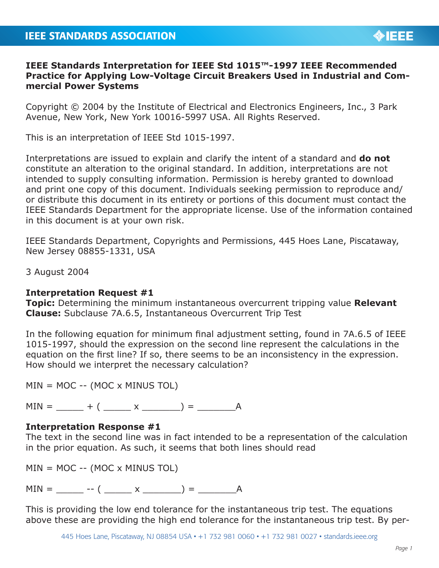## **IEEE Standards Interpretation for IEEE Std 1015™-1997 IEEE Recommended Practice for Applying Low-Voltage Circuit Breakers Used in Industrial and Commercial Power Systems**

Copyright © 2004 by the Institute of Electrical and Electronics Engineers, Inc., 3 Park Avenue, New York, New York 10016-5997 USA. All Rights Reserved.

This is an interpretation of IEEE Std 1015-1997.

Interpretations are issued to explain and clarify the intent of a standard and **do not** constitute an alteration to the original standard. In addition, interpretations are not intended to supply consulting information. Permission is hereby granted to download and print one copy of this document. Individuals seeking permission to reproduce and/ or distribute this document in its entirety or portions of this document must contact the IEEE Standards Department for the appropriate license. Use of the information contained in this document is at your own risk.

IEEE Standards Department, Copyrights and Permissions, 445 Hoes Lane, Piscataway, New Jersey 08855-1331, USA

3 August 2004

## **Interpretation Request #1**

**Topic:** Determining the minimum instantaneous overcurrent tripping value **Relevant Clause:** Subclause 7A.6.5, Instantaneous Overcurrent Trip Test

In the following equation for minimum final adjustment setting, found in 7A.6.5 of IEEE 1015-1997, should the expression on the second line represent the calculations in the equation on the first line? If so, there seems to be an inconsistency in the expression. How should we interpret the necessary calculation?

 $MIN = MOC --(MOC \times MINUS TOL)$ 

 $MIN = + ( x ) = A$ 

## **Interpretation Response #1**

The text in the second line was in fact intended to be a representation of the calculation in the prior equation. As such, it seems that both lines should read

 $MIN = MOC --(MOC \times MINUS TOL)$ 

 $MIN = \_ \ - \ ( \_ \ x \_ \ ) = \_ \ A$ 

This is providing the low end tolerance for the instantaneous trip test. The equations above these are providing the high end tolerance for the instantaneous trip test. By per-

445 Hoes Lane, Piscataway, NJ 08854 USA • +1 732 981 0060 • +1 732 981 0027 • standards.ieee.org